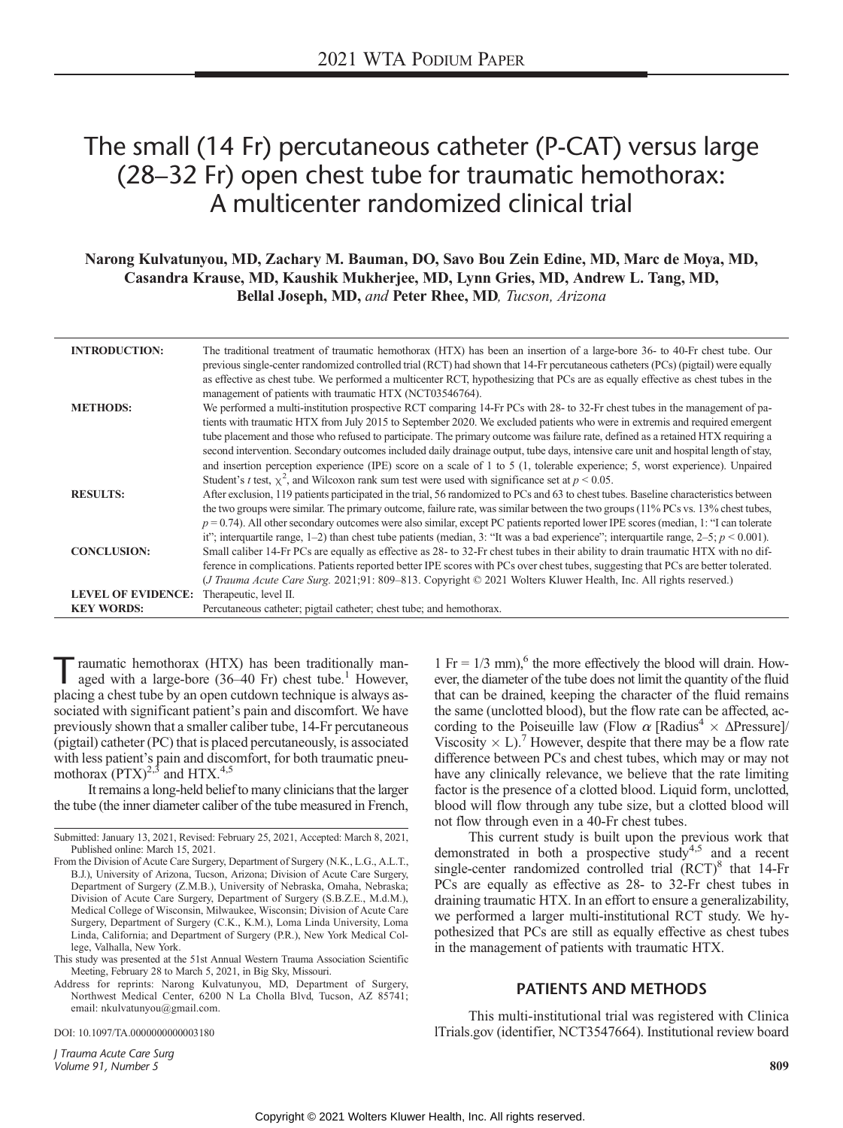# The small (14 Fr) percutaneous catheter (P-CAT) versus large (28–32 Fr) open chest tube for traumatic hemothorax: A multicenter randomized clinical trial

# Narong Kulvatunyou, MD, Zachary M. Bauman, DO, Savo Bou Zein Edine, MD, Marc de Moya, MD, Casandra Krause, MD, Kaushik Mukherjee, MD, Lynn Gries, MD, Andrew L. Tang, MD, Bellal Joseph, MD, and Peter Rhee, MD, Tucson, Arizona

| <b>INTRODUCTION:</b>                           | The traditional treatment of traumatic hemothorax (HTX) has been an insertion of a large-bore 36- to 40-Fr chest tube. Our<br>previous single-center randomized controlled trial (RCT) had shown that 14-Fr percutaneous catheters (PCs) (pigtail) were equally<br>as effective as chest tube. We performed a multicenter RCT, hypothesizing that PCs are as equally effective as chest tubes in the<br>management of patients with traumatic HTX (NCT03546764).                                                                                                                                                                                                                    |
|------------------------------------------------|-------------------------------------------------------------------------------------------------------------------------------------------------------------------------------------------------------------------------------------------------------------------------------------------------------------------------------------------------------------------------------------------------------------------------------------------------------------------------------------------------------------------------------------------------------------------------------------------------------------------------------------------------------------------------------------|
| <b>METHODS:</b>                                | We performed a multi-institution prospective RCT comparing 14-Fr PCs with 28- to 32-Fr chest tubes in the management of pa-<br>tients with traumatic HTX from July 2015 to September 2020. We excluded patients who were in extremis and required emergent<br>tube placement and those who refused to participate. The primary outcome was failure rate, defined as a retained HTX requiring a<br>second intervention. Secondary outcomes included daily drainage output, tube days, intensive care unit and hospital length of stay,<br>and insertion perception experience (IPE) score on a scale of 1 to 5 (1, tolerable experience; 5, worst experience). Unpaired              |
| <b>RESULTS:</b>                                | Student's <i>t</i> test, $\chi^2$ , and Wilcoxon rank sum test were used with significance set at $p < 0.05$ .<br>After exclusion, 119 patients participated in the trial, 56 randomized to PCs and 63 to chest tubes. Baseline characteristics between<br>the two groups were similar. The primary outcome, failure rate, was similar between the two groups (11% PCs vs. 13% chest tubes,<br>$p = 0.74$ ). All other secondary outcomes were also similar, except PC patients reported lower IPE scores (median, 1: "I can tolerate<br>it"; interquartile range, 1-2) than chest tube patients (median, 3: "It was a bad experience"; interquartile range, $2-5$ ; $p < 0.001$ ). |
| <b>CONCLUSION:</b>                             | Small caliber 14-Fr PCs are equally as effective as 28- to 32-Fr chest tubes in their ability to drain traumatic HTX with no dif-<br>ference in complications. Patients reported better IPE scores with PCs over chest tubes, suggesting that PCs are better tolerated.<br>( <i>J Trauma Acute Care Surg.</i> 2021;91: 809–813. Copyright © 2021 Wolters Kluwer Health, Inc. All rights reserved.)                                                                                                                                                                                                                                                                                  |
| <b>LEVEL OF EVIDENCE:</b><br><b>KEY WORDS:</b> | Therapeutic, level II.<br>Percutaneous catheter; pigtail catheter; chest tube; and hemothorax.                                                                                                                                                                                                                                                                                                                                                                                                                                                                                                                                                                                      |

Traumatic hemothorax (HTX) has been traditionally man-<br>aged with a large-bore (36–40 Fr) chest tube.<sup>1</sup> However, placing a chest tube by an open cutdown technique is always associated with significant patient's pain and discomfort. We have previously shown that a smaller caliber tube, 14-Fr percutaneous (pigtail) catheter (PC) that is placed percutaneously, is associated with less patient's pain and discomfort, for both traumatic pneumothorax  $(PTX)^{2,3}$  and HTX.<sup>4,5</sup>

It remains a long-held belief to many clinicians that the larger the tube (the inner diameter caliber of the tube measured in French,

This study was presented at the 51st Annual Western Trauma Association Scientific Meeting, February 28 to March 5, 2021, in Big Sky, Missouri.

Address for reprints: Narong Kulvatunyou, MD, Department of Surgery, Northwest Medical Center, 6200 N La Cholla Blvd, Tucson, AZ 85741; email: [nkulvatunyou@gmail.com](mailto:nkulvatunyou@gmail.com).

DOI: 10.1097/TA.0000000000003180

J Trauma Acute Care Surg Volume 91, Number 5 809

1 Fr =  $1/3$  mm),<sup>6</sup> the more effectively the blood will drain. However, the diameter of the tube does not limit the quantity of the fluid that can be drained, keeping the character of the fluid remains the same (unclotted blood), but the flow rate can be affected, according to the Poiseuille law (Flow  $\alpha$  [Radius<sup>4</sup>  $\times$   $\Delta$ Pressure]/ Viscosity  $\times$  L).<sup>7</sup> However, despite that there may be a flow rate difference between PCs and chest tubes, which may or may not have any clinically relevance, we believe that the rate limiting factor is the presence of a clotted blood. Liquid form, unclotted, blood will flow through any tube size, but a clotted blood will not flow through even in a 40-Fr chest tubes.

This current study is built upon the previous work that demonstrated in both a prospective study<sup>4,5</sup> and a recent single-center randomized controlled trial  $(RCT)^8$  that 14-Fr PCs are equally as effective as 28- to 32-Fr chest tubes in draining traumatic HTX. In an effort to ensure a generalizability, we performed a larger multi-institutional RCT study. We hypothesized that PCs are still as equally effective as chest tubes in the management of patients with traumatic HTX.

#### PATIENTS AND METHODS

This multi-institutional trial was registered with [Clinica](http://ClinicalTrials.gov) [lTrials.gov](http://ClinicalTrials.gov) (identifier, NCT3547664). Institutional review board

Submitted: January 13, 2021, Revised: February 25, 2021, Accepted: March 8, 2021, Published online: March 15, 2021.

From the Division of Acute Care Surgery, Department of Surgery (N.K., L.G., A.L.T., B.J.), University of Arizona, Tucson, Arizona; Division of Acute Care Surgery, Department of Surgery (Z.M.B.), University of Nebraska, Omaha, Nebraska; Division of Acute Care Surgery, Department of Surgery (S.B.Z.E., M.d.M.), Medical College of Wisconsin, Milwaukee, Wisconsin; Division of Acute Care Surgery, Department of Surgery (C.K., K.M.), Loma Linda University, Loma Linda, California; and Department of Surgery (P.R.), New York Medical College, Valhalla, New York.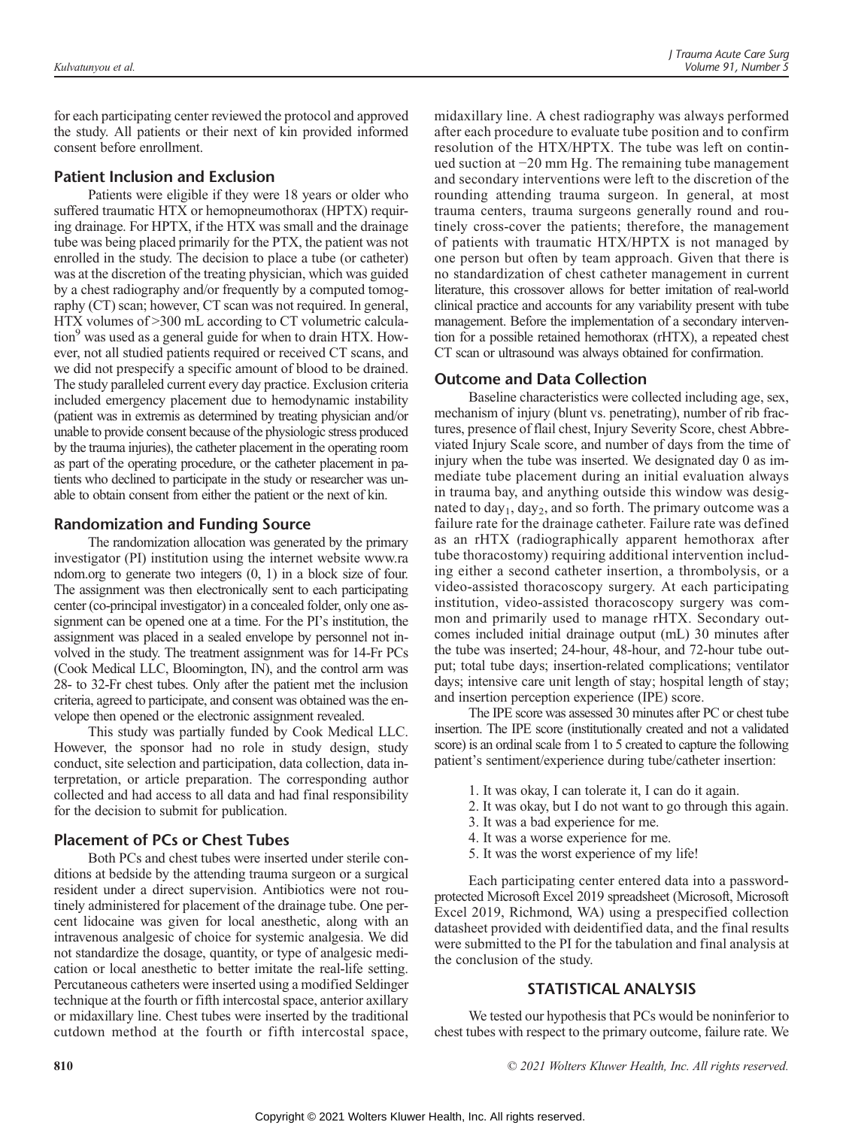for each participating center reviewed the protocol and approved the study. All patients or their next of kin provided informed consent before enrollment.

## Patient Inclusion and Exclusion

Patients were eligible if they were 18 years or older who suffered traumatic HTX or hemopneumothorax (HPTX) requiring drainage. For HPTX, if the HTX was small and the drainage tube was being placed primarily for the PTX, the patient was not enrolled in the study. The decision to place a tube (or catheter) was at the discretion of the treating physician, which was guided by a chest radiography and/or frequently by a computed tomography (CT) scan; however, CT scan was not required. In general, HTX volumes of >300 mL according to CT volumetric calculation<sup>9</sup> was used as a general guide for when to drain HTX. However, not all studied patients required or received CT scans, and we did not prespecify a specific amount of blood to be drained. The study paralleled current every day practice. Exclusion criteria included emergency placement due to hemodynamic instability (patient was in extremis as determined by treating physician and/or unable to provide consent because of the physiologic stress produced by the trauma injuries), the catheter placement in the operating room as part of the operating procedure, or the catheter placement in patients who declined to participate in the study or researcher was unable to obtain consent from either the patient or the next of kin.

## Randomization and Funding Source

The randomization allocation was generated by the primary investigator (PI) institution using the internet website [www.ra](http://www.random.org) [ndom.org](http://www.random.org) to generate two integers (0, 1) in a block size of four. The assignment was then electronically sent to each participating center (co-principal investigator) in a concealed folder, only one assignment can be opened one at a time. For the PI's institution, the assignment was placed in a sealed envelope by personnel not involved in the study. The treatment assignment was for 14-Fr PCs (Cook Medical LLC, Bloomington, IN), and the control arm was 28- to 32-Fr chest tubes. Only after the patient met the inclusion criteria, agreed to participate, and consent was obtained was the envelope then opened or the electronic assignment revealed.

This study was partially funded by Cook Medical LLC. However, the sponsor had no role in study design, study conduct, site selection and participation, data collection, data interpretation, or article preparation. The corresponding author collected and had access to all data and had final responsibility for the decision to submit for publication.

## Placement of PCs or Chest Tubes

Both PCs and chest tubes were inserted under sterile conditions at bedside by the attending trauma surgeon or a surgical resident under a direct supervision. Antibiotics were not routinely administered for placement of the drainage tube. One percent lidocaine was given for local anesthetic, along with an intravenous analgesic of choice for systemic analgesia. We did not standardize the dosage, quantity, or type of analgesic medication or local anesthetic to better imitate the real-life setting. Percutaneous catheters were inserted using a modified Seldinger technique at the fourth or fifth intercostal space, anterior axillary or midaxillary line. Chest tubes were inserted by the traditional cutdown method at the fourth or fifth intercostal space,

midaxillary line. A chest radiography was always performed after each procedure to evaluate tube position and to confirm resolution of the HTX/HPTX. The tube was left on continued suction at −20 mm Hg. The remaining tube management and secondary interventions were left to the discretion of the rounding attending trauma surgeon. In general, at most trauma centers, trauma surgeons generally round and routinely cross-cover the patients; therefore, the management of patients with traumatic HTX/HPTX is not managed by one person but often by team approach. Given that there is no standardization of chest catheter management in current literature, this crossover allows for better imitation of real-world clinical practice and accounts for any variability present with tube management. Before the implementation of a secondary intervention for a possible retained hemothorax (rHTX), a repeated chest CT scan or ultrasound was always obtained for confirmation.

## Outcome and Data Collection

Baseline characteristics were collected including age, sex, mechanism of injury (blunt vs. penetrating), number of rib fractures, presence of flail chest, Injury Severity Score, chest Abbreviated Injury Scale score, and number of days from the time of injury when the tube was inserted. We designated day 0 as immediate tube placement during an initial evaluation always in trauma bay, and anything outside this window was designated to day<sub>1</sub>, day<sub>2</sub>, and so forth. The primary outcome was a failure rate for the drainage catheter. Failure rate was defined as an rHTX (radiographically apparent hemothorax after tube thoracostomy) requiring additional intervention including either a second catheter insertion, a thrombolysis, or a video-assisted thoracoscopy surgery. At each participating institution, video-assisted thoracoscopy surgery was common and primarily used to manage rHTX. Secondary outcomes included initial drainage output (mL) 30 minutes after the tube was inserted; 24-hour, 48-hour, and 72-hour tube output; total tube days; insertion-related complications; ventilator days; intensive care unit length of stay; hospital length of stay; and insertion perception experience (IPE) score.

The IPE score was assessed 30 minutes after PC or chest tube insertion. The IPE score (institutionally created and not a validated score) is an ordinal scale from 1 to 5 created to capture the following patient's sentiment/experience during tube/catheter insertion:

- 1. It was okay, I can tolerate it, I can do it again.
- 2. It was okay, but I do not want to go through this again.
- 3. It was a bad experience for me.
- 4. It was a worse experience for me.
- 5. It was the worst experience of my life!

Each participating center entered data into a passwordprotected Microsoft Excel 2019 spreadsheet (Microsoft, Microsoft Excel 2019, Richmond, WA) using a prespecified collection datasheet provided with deidentified data, and the final results were submitted to the PI for the tabulation and final analysis at the conclusion of the study.

## STATISTICAL ANALYSIS

We tested our hypothesis that PCs would be noninferior to chest tubes with respect to the primary outcome, failure rate. We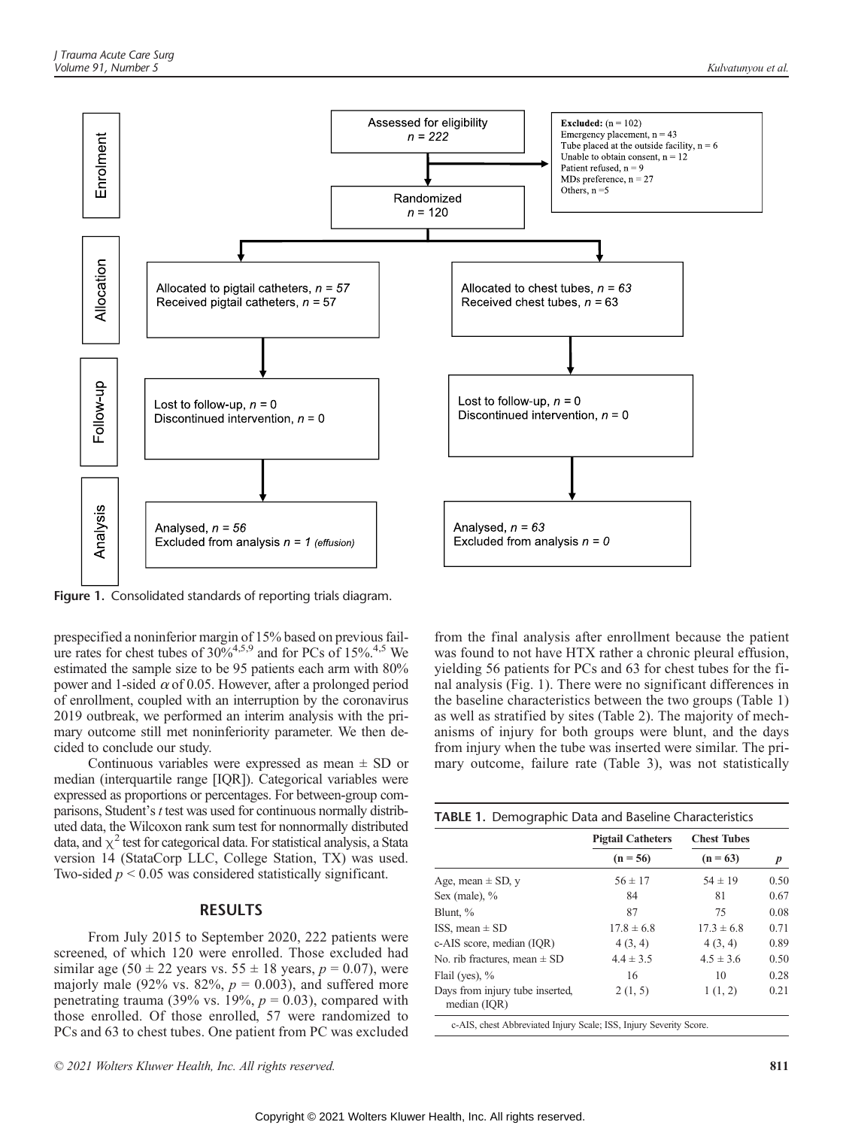

Figure 1. Consolidated standards of reporting trials diagram.

prespecified a noninferior margin of 15% based on previous failure rates for chest tubes of  $30\%^{4,5,9}$  and for PCs of 15%.<sup>4,5</sup> We estimated the sample size to be 95 patients each arm with 80% power and 1-sided  $\alpha$  of 0.05. However, after a prolonged period of enrollment, coupled with an interruption by the coronavirus 2019 outbreak, we performed an interim analysis with the primary outcome still met noninferiority parameter. We then decided to conclude our study.

Continuous variables were expressed as mean ± SD or median (interquartile range [IQR]). Categorical variables were expressed as proportions or percentages. For between-group comparisons, Student's t test was used for continuous normally distributed data, the Wilcoxon rank sum test for nonnormally distributed data, and  $\chi^2$  test for categorical data. For statistical analysis, a Stata version 14 (StataCorp LLC, College Station, TX) was used. Two-sided  $p < 0.05$  was considered statistically significant.

# RESULTS

From July 2015 to September 2020, 222 patients were screened, of which 120 were enrolled. Those excluded had similar age (50  $\pm$  22 years vs. 55  $\pm$  18 years,  $p = 0.07$ ), were majorly male (92% vs. 82%,  $p = 0.003$ ), and suffered more penetrating trauma (39% vs. 19%,  $p = 0.03$ ), compared with those enrolled. Of those enrolled, 57 were randomized to PCs and 63 to chest tubes. One patient from PC was excluded from the final analysis after enrollment because the patient was found to not have HTX rather a chronic pleural effusion, yielding 56 patients for PCs and 63 for chest tubes for the final analysis (Fig. 1). There were no significant differences in the baseline characteristics between the two groups (Table 1) as well as stratified by sites (Table 2). The majority of mechanisms of injury for both groups were blunt, and the days from injury when the tube was inserted were similar. The primary outcome, failure rate (Table 3), was not statistically

|                                                 | <b>Pigtail Catheters</b> | <b>Chest Tubes</b> |      |
|-------------------------------------------------|--------------------------|--------------------|------|
|                                                 | $(n = 56)$               | $(n = 63)$         | p    |
| Age, mean $\pm$ SD, y                           | $56 \pm 17$              | $54 \pm 19$        | 0.50 |
| Sex (male), $\%$                                | 84                       | 81                 | 0.67 |
| Blunt, %                                        | 87                       | 75                 | 0.08 |
| ISS, mean $\pm$ SD                              | $17.8 \pm 6.8$           | $17.3 \pm 6.8$     | 0.71 |
| c-AIS score, median (IQR)                       | 4(3, 4)                  | 4(3, 4)            | 0.89 |
| No. rib fractures, mean $\pm$ SD                | $4.4 \pm 3.5$            | $4.5 \pm 3.6$      | 0.50 |
| Flail (yes), $%$                                | 16                       | 10                 | 0.28 |
| Days from injury tube inserted,<br>median (IQR) | 2(1, 5)                  | 1(1, 2)            | 0.21 |

c-AIS, chest Abbreviated Injury Scale; ISS, Injury Severity Score.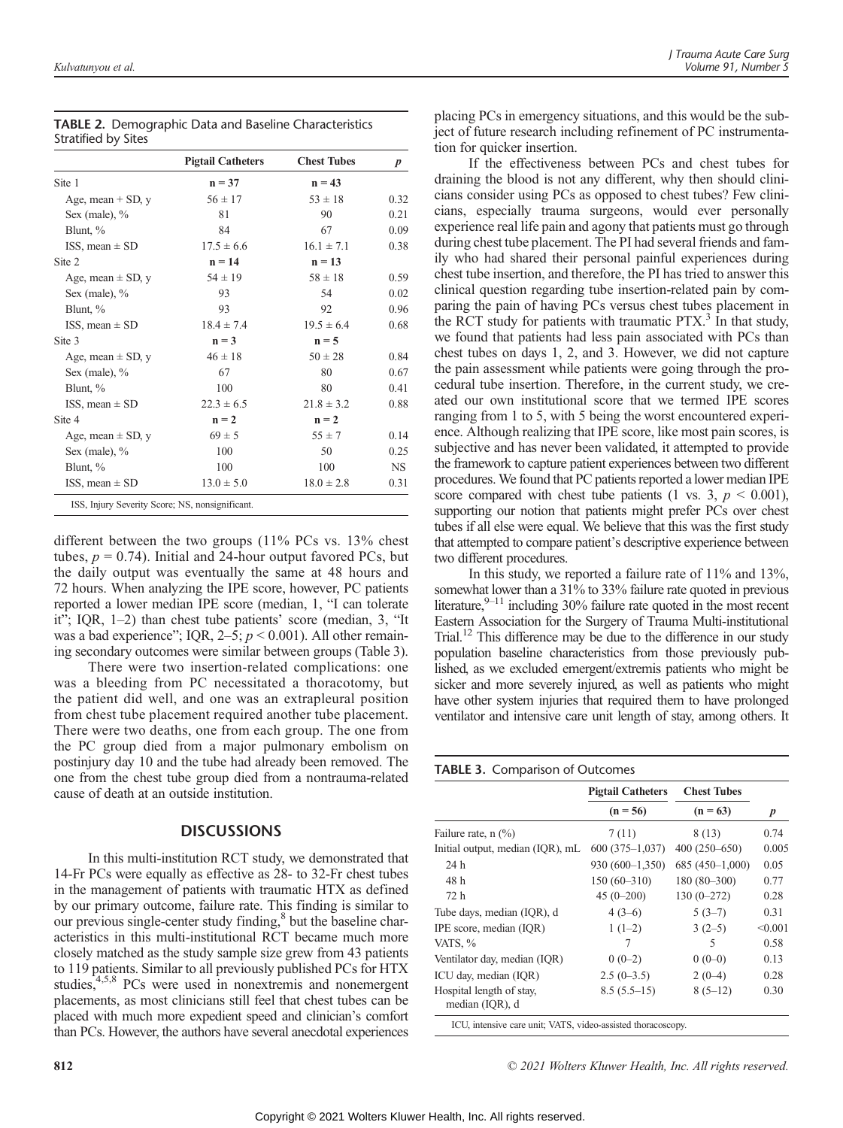|                     | <b>TABLE 2.</b> Demographic Data and Baseline Characteristics |
|---------------------|---------------------------------------------------------------|
| Stratified by Sites |                                                               |

|                       | <b>Pigtail Catheters</b> | <b>Chest Tubes</b> | $\boldsymbol{p}$ |
|-----------------------|--------------------------|--------------------|------------------|
| Site 1                | $n = 37$                 | $n = 43$           |                  |
| Age, mean $+$ SD, $y$ | $56 \pm 17$              | $53 \pm 18$        | 0.32             |
| Sex (male), %         | 81                       | 90                 | 0.21             |
| Blunt, %              | 84                       | 67                 | 0.09             |
| ISS, mean $\pm$ SD    | $17.5 \pm 6.6$           | $16.1 \pm 7.1$     | 0.38             |
| Site 2                | $n = 14$                 | $n = 13$           |                  |
| Age, mean $\pm$ SD, y | $54 \pm 19$              | $58 \pm 18$        | 0.59             |
| Sex (male), %         | 93                       | 54                 | 0.02             |
| Blunt, %              | 93                       | 92                 | 0.96             |
| ISS, mean $\pm$ SD    | $18.4 \pm 7.4$           | $19.5 \pm 6.4$     | 0.68             |
| Site 3                | $n = 3$                  | $n = 5$            |                  |
| Age, mean $\pm$ SD, y | $46 \pm 18$              | $50 \pm 28$        | 0.84             |
| Sex (male), $%$       | 67                       | 80                 | 0.67             |
| Blunt, %              | 100                      | 80                 | 0.41             |
| ISS, mean $\pm$ SD    | $22.3 \pm 6.5$           | $21.8 \pm 3.2$     | 0.88             |
| Site 4                | $n = 2$                  | $n = 2$            |                  |
| Age, mean $\pm$ SD, y | $69 \pm 5$               | $55 \pm 7$         | 0.14             |
| Sex (male), $%$       | 100                      | 50                 | 0.25             |
| Blunt, %              | 100                      | 100                | <b>NS</b>        |
| ISS, mean $\pm$ SD    | $13.0 \pm 5.0$           | $18.0 \pm 2.8$     | 0.31             |

different between the two groups (11% PCs vs. 13% chest tubes,  $p = 0.74$ ). Initial and 24-hour output favored PCs, but the daily output was eventually the same at 48 hours and 72 hours. When analyzing the IPE score, however, PC patients reported a lower median IPE score (median, 1, "I can tolerate it"; IQR, 1–2) than chest tube patients' score (median, 3, "It was a bad experience"; IQR,  $2-5$ ;  $p < 0.001$ ). All other remaining secondary outcomes were similar between groups (Table 3).

There were two insertion-related complications: one was a bleeding from PC necessitated a thoracotomy, but the patient did well, and one was an extrapleural position from chest tube placement required another tube placement. There were two deaths, one from each group. The one from the PC group died from a major pulmonary embolism on postinjury day 10 and the tube had already been removed. The one from the chest tube group died from a nontrauma-related cause of death at an outside institution.

#### **DISCUSSIONS**

In this multi-institution RCT study, we demonstrated that 14-Fr PCs were equally as effective as 28- to 32-Fr chest tubes in the management of patients with traumatic HTX as defined by our primary outcome, failure rate. This finding is similar to our previous single-center study finding, $\delta$  but the baseline characteristics in this multi-institutional RCT became much more closely matched as the study sample size grew from 43 patients to 119 patients. Similar to all previously published PCs for HTX studies,<sup>4,5,8</sup> PCs were used in nonextremis and nonemergent placements, as most clinicians still feel that chest tubes can be placed with much more expedient speed and clinician's comfort than PCs. However, the authors have several anecdotal experiences

placing PCs in emergency situations, and this would be the subject of future research including refinement of PC instrumentation for quicker insertion.

If the effectiveness between PCs and chest tubes for draining the blood is not any different, why then should clinicians consider using PCs as opposed to chest tubes? Few clinicians, especially trauma surgeons, would ever personally experience real life pain and agony that patients must go through during chest tube placement. The PI had several friends and family who had shared their personal painful experiences during chest tube insertion, and therefore, the PI has tried to answer this clinical question regarding tube insertion-related pain by comparing the pain of having PCs versus chest tubes placement in the RCT study for patients with traumatic  $PTX<sup>3</sup>$ . In that study, we found that patients had less pain associated with PCs than chest tubes on days 1, 2, and 3. However, we did not capture the pain assessment while patients were going through the procedural tube insertion. Therefore, in the current study, we created our own institutional score that we termed IPE scores ranging from 1 to 5, with 5 being the worst encountered experience. Although realizing that IPE score, like most pain scores, is subjective and has never been validated, it attempted to provide the framework to capture patient experiences between two different procedures. We found that PC patients reported a lower median IPE score compared with chest tube patients (1 vs. 3,  $p \le 0.001$ ), supporting our notion that patients might prefer PCs over chest tubes if all else were equal. We believe that this was the first study that attempted to compare patient's descriptive experience between two different procedures.

In this study, we reported a failure rate of 11% and 13%, somewhat lower than a 31% to 33% failure rate quoted in previous literature, $9-11$  including 30% failure rate quoted in the most recent Eastern Association for the Surgery of Trauma Multi-institutional Trial.<sup>12</sup> This difference may be due to the difference in our study population baseline characteristics from those previously published, as we excluded emergent/extremis patients who might be sicker and more severely injured, as well as patients who might have other system injuries that required them to have prolonged ventilator and intensive care unit length of stay, among others. It

#### TABLE 3. Comparison of Outcomes

|                                             | <b>Pigtail Catheters</b> | <b>Chest Tubes</b> |         |
|---------------------------------------------|--------------------------|--------------------|---------|
|                                             | $(n = 56)$               | $(n = 63)$         | p       |
| Failure rate, $n$ $(\%)$                    | 7(11)                    | 8 (13)             | 0.74    |
| Initial output, median (IQR), mL            | $600(375-1,037)$         | 400 (250-650)      | 0.005   |
| 24 h                                        | $930(600-1,350)$         | $685(450-1,000)$   | 0.05    |
| 48 h                                        | $150(60-310)$            | $180(80-300)$      | 0.77    |
| 72 h                                        | $45(0-200)$              | $130(0-272)$       | 0.28    |
| Tube days, median (IOR), d                  | $4(3-6)$                 | $5(3-7)$           | 0.31    |
| IPE score, median (IOR)                     | $1(1-2)$                 | $3(2-5)$           | < 0.001 |
| VATS, %                                     | 7                        | 5                  | 0.58    |
| Ventilator day, median (IQR)                | $0(0-2)$                 | $0(0-0)$           | 0.13    |
| ICU day, median (IOR)                       | $2.5(0-3.5)$             | $2(0-4)$           | 0.28    |
| Hospital length of stay,<br>median (IQR), d | $8.5(5.5-15)$            | $8(5-12)$          | 0.30    |

ICU, intensive care unit; VATS, video-assisted thoracoscopy.